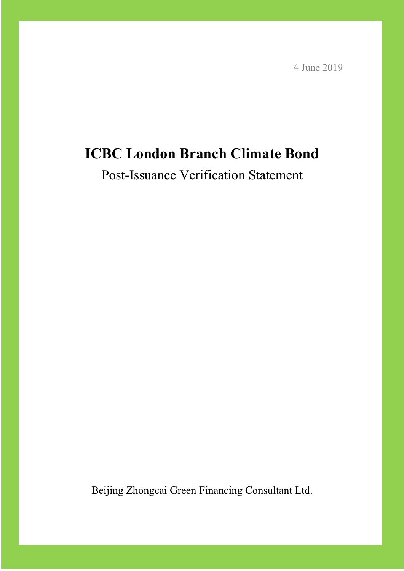4 June 2019

## **ICBC London Branch Climate Bond**

Post-Issuance Verification Statement

Beijing Zhongcai Green Financing Consultant Ltd.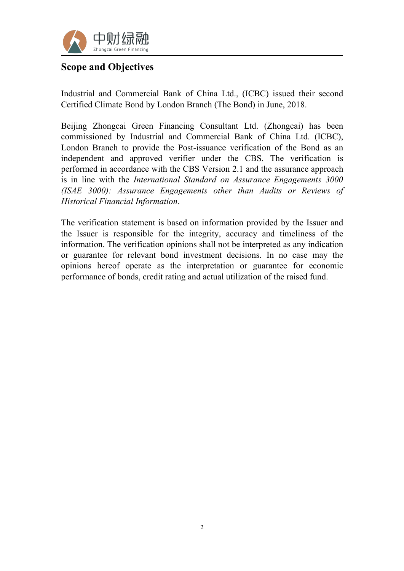

#### **Scope and Objectives**

Industrial and Commercial Bank of China Ltd., (ICBC) issued their second Certified Climate Bond by London Branch (The Bond) in June, 2018.

Beijing Zhongcai Green Financing Consultant Ltd. (Zhongcai) has been commissioned by Industrial and Commercial Bank of China Ltd. (ICBC), London Branch to provide the Post-issuance verification of the Bond as an independent and approved verifier under the CBS. The verification is performed in accordance with the CBS Version 2.1 and the assurance approach is in line with the *International Standard on Assurance Engagements 3000 (ISAE 3000): Assurance Engagements other than Audits or Reviews of Historical Financial Information*.

The verification statement is based on information provided by the Issuer and the Issuer is responsible for the integrity, accuracy and timeliness of the information. The verification opinions shall not be interpreted as any indication or guarantee for relevant bond investment decisions. In no case may the opinions hereof operate as the interpretation or guarantee for economic performance of bonds, credit rating and actual utilization of the raised fund.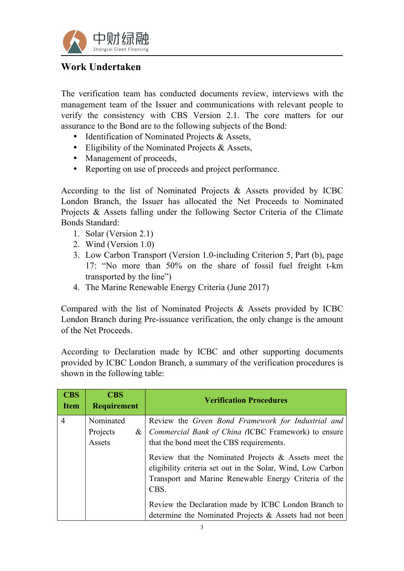

### **Work Undertaken**

The verification team has conducted documents review, interviews with the management team of the Issuer and communications with relevant people to verify the consistency with CBS Version 2.1. The core matters for our assurance to the Bond are to the following subjects of the Bond:

- Identification of Nominated Projects & Assets,
- Eligibility of the Nominated Projects & Assets,
- Management of proceeds,
- Reporting on use of proceeds and project performance.

According to the list of Nominated Projects & Assets provided by ICBC London Branch, the Issuer has allocated the Net Proceeds to Nominated Projects & Assets falling under the following Sector Criteria of the Climate Bonds Standard:

- 1. Solar (Version 2.1)
- 2. Wind (Version 1.0)
- 3. Low Carbon Transport (Version 1.0-including Criterion 5, Part (b), page 17: "No more than 50% on the share of fossil fuel freight t-km transported by the line")
- 4. The Marine Renewable Energy Criteria (June 2017)

Compared with the list of Nominated Projects & Assets provided by ICBC London Branch during Pre-issuance verification, the only change is the amount of the Net Proceeds.

According to Declaration made by ICBC and other supporting documents provided by ICBC London Branch, a summary of the verification procedures is shown in the following table:

| <b>CBS</b><br><b>Item</b> | <b>CBS</b><br><b>Requirement</b> | <b>Verification Procedures</b>                                                                                                                                                          |
|---------------------------|----------------------------------|-----------------------------------------------------------------------------------------------------------------------------------------------------------------------------------------|
| 4                         | Nominated                        | Review the Green Bond Framework for Industrial and                                                                                                                                      |
|                           | Projects<br>$\&$                 | Commercial Bank of China (ICBC Framework) to ensure                                                                                                                                     |
|                           | Assets                           | that the bond meet the CBS requirements.                                                                                                                                                |
|                           |                                  | Review that the Nominated Projects $\&$ Assets meet the<br>eligibility criteria set out in the Solar, Wind, Low Carbon<br>Transport and Marine Renewable Energy Criteria of the<br>CBS. |
|                           |                                  | Review the Declaration made by ICBC London Branch to<br>determine the Nominated Projects & Assets had not been                                                                          |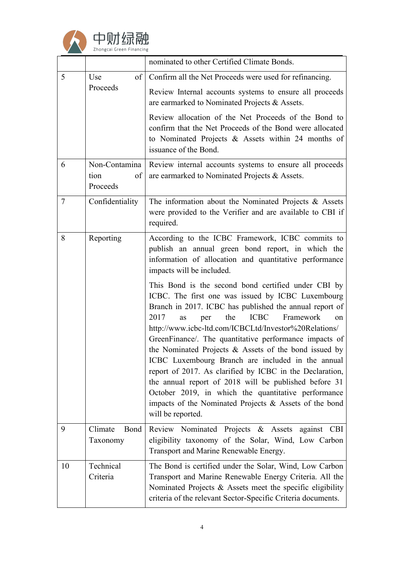

|          |                |                                                         | nominated to other Certified Climate Bonds.                                                                                                                                                                                                                                                                                                                                                                                                                                                                                                                                                                                                                                                                                      |
|----------|----------------|---------------------------------------------------------|----------------------------------------------------------------------------------------------------------------------------------------------------------------------------------------------------------------------------------------------------------------------------------------------------------------------------------------------------------------------------------------------------------------------------------------------------------------------------------------------------------------------------------------------------------------------------------------------------------------------------------------------------------------------------------------------------------------------------------|
| 5<br>Use | of             | Confirm all the Net Proceeds were used for refinancing. |                                                                                                                                                                                                                                                                                                                                                                                                                                                                                                                                                                                                                                                                                                                                  |
|          |                | Proceeds                                                | Review Internal accounts systems to ensure all proceeds<br>are earmarked to Nominated Projects & Assets.                                                                                                                                                                                                                                                                                                                                                                                                                                                                                                                                                                                                                         |
|          |                |                                                         | Review allocation of the Net Proceeds of the Bond to<br>confirm that the Net Proceeds of the Bond were allocated<br>to Nominated Projects & Assets within 24 months of<br>issuance of the Bond.                                                                                                                                                                                                                                                                                                                                                                                                                                                                                                                                  |
|          | 6              | Non-Contamina<br>tion<br>of<br>Proceeds                 | Review internal accounts systems to ensure all proceeds<br>are earmarked to Nominated Projects & Assets.                                                                                                                                                                                                                                                                                                                                                                                                                                                                                                                                                                                                                         |
|          | $\overline{7}$ | Confidentiality                                         | The information about the Nominated Projects $\&$ Assets<br>were provided to the Verifier and are available to CBI if<br>required.                                                                                                                                                                                                                                                                                                                                                                                                                                                                                                                                                                                               |
|          | 8              | Reporting                                               | According to the ICBC Framework, ICBC commits to<br>publish an annual green bond report, in which the<br>information of allocation and quantitative performance<br>impacts will be included.                                                                                                                                                                                                                                                                                                                                                                                                                                                                                                                                     |
|          |                |                                                         | This Bond is the second bond certified under CBI by<br>ICBC. The first one was issued by ICBC Luxembourg<br>Branch in 2017. ICBC has published the annual report of<br><b>ICBC</b><br>2017<br>the<br>Framework<br>as<br>per<br>on<br>http://www.icbc-ltd.com/ICBCLtd/Investor%20Relations/<br>GreenFinance/. The quantitative performance impacts of<br>the Nominated Projects & Assets of the bond issued by<br>ICBC Luxembourg Branch are included in the annual<br>report of 2017. As clarified by ICBC in the Declaration,<br>the annual report of 2018 will be published before 31<br>October 2019, in which the quantitative performance<br>impacts of the Nominated Projects $\&$ Assets of the bond<br>will be reported. |
|          | 9              | Climate<br>Bond<br>Taxonomy                             | Review Nominated Projects & Assets against CBI<br>eligibility taxonomy of the Solar, Wind, Low Carbon<br>Transport and Marine Renewable Energy.                                                                                                                                                                                                                                                                                                                                                                                                                                                                                                                                                                                  |
|          | 10             | Technical<br>Criteria                                   | The Bond is certified under the Solar, Wind, Low Carbon<br>Transport and Marine Renewable Energy Criteria. All the<br>Nominated Projects $\&$ Assets meet the specific eligibility<br>criteria of the relevant Sector-Specific Criteria documents.                                                                                                                                                                                                                                                                                                                                                                                                                                                                               |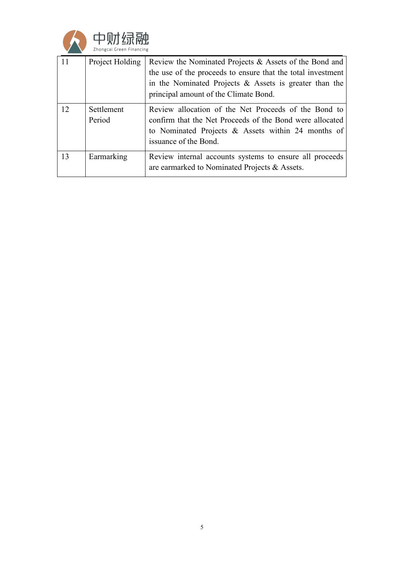

| 11 | Project Holding      | Review the Nominated Projects & Assets of the Bond and<br>the use of the proceeds to ensure that the total investment<br>in the Nominated Projects $\&$ Assets is greater than the<br>principal amount of the Climate Bond. |
|----|----------------------|-----------------------------------------------------------------------------------------------------------------------------------------------------------------------------------------------------------------------------|
| 12 | Settlement<br>Period | Review allocation of the Net Proceeds of the Bond to<br>confirm that the Net Proceeds of the Bond were allocated<br>to Nominated Projects $\&$ Assets within 24 months of<br>issuance of the Bond.                          |
| 13 | Earmarking           | Review internal accounts systems to ensure all proceeds<br>are earmarked to Nominated Projects & Assets.                                                                                                                    |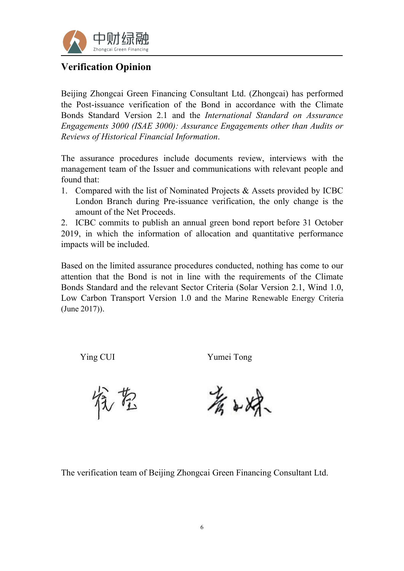

### **Verification Opinion**

Beijing Zhongcai Green Financing Consultant Ltd. (Zhongcai) has performed the Post-issuance verification of the Bond in accordance with the Climate Bonds Standard Version 2.1 and the *International Standard on Assurance Engagements 3000 (ISAE 3000): Assurance Engagements other than Audits or Reviews of Historical Financial Information*.

The assurance procedures include documents review, interviews with the management team of the Issuer and communications with relevant people and found that:

1. Compared with the list of Nominated Projects & Assets provided by ICBC London Branch during Pre-issuance verification, the only change is the amount of the Net Proceeds.

2. ICBC commits to publish an annual green bond report before 31 October 2019, in which the information of allocation and quantitative performance impacts will be included.

Based on the limited assurance procedures conducted, nothing has come to our attention that the Bond is not in line with the requirements of the Climate Bonds Standard and the relevant Sector Criteria (Solar Version 2.1, Wind 1.0, Low Carbon Transport Version 1.0 and the Marine Renewable Energy Criteria (June 2017)).

Ying CUI Yumei Tong

饶君

著的绿

The verification team of Beijing Zhongcai Green Financing Consultant Ltd.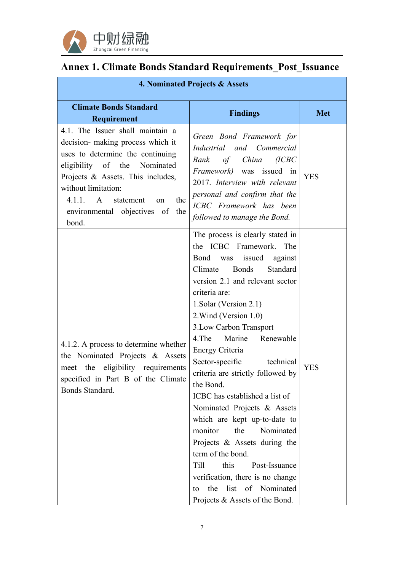

# **Annex 1. Climate Bonds Standard Requirements\_Post\_Issuance**

| 4. Nominated Projects & Assets                                                                                                                                                                                                                                                                        |                                                                                                                                                                                                                                                                                                                                                                                                                                                                                                                                                                                                                                                                                                                                        |            |  |  |
|-------------------------------------------------------------------------------------------------------------------------------------------------------------------------------------------------------------------------------------------------------------------------------------------------------|----------------------------------------------------------------------------------------------------------------------------------------------------------------------------------------------------------------------------------------------------------------------------------------------------------------------------------------------------------------------------------------------------------------------------------------------------------------------------------------------------------------------------------------------------------------------------------------------------------------------------------------------------------------------------------------------------------------------------------------|------------|--|--|
| <b>Climate Bonds Standard</b><br>Requirement                                                                                                                                                                                                                                                          | <b>Findings</b>                                                                                                                                                                                                                                                                                                                                                                                                                                                                                                                                                                                                                                                                                                                        | <b>Met</b> |  |  |
| 4.1. The Issuer shall maintain a<br>decision- making process which it<br>uses to determine the continuing<br>eligibility of the Nominated<br>Projects & Assets. This includes,<br>without limitation:<br>4.1.1.<br>$\mathbf{A}$<br>statement<br>the<br>on<br>environmental objectives of the<br>bond. | Green Bond Framework for<br>Industrial and Commercial<br>of China<br>(ICBC)<br>Bank<br>Framework) was issued in<br>2017. Interview with relevant<br>personal and confirm that the<br>ICBC Framework has been<br>followed to manage the Bond.                                                                                                                                                                                                                                                                                                                                                                                                                                                                                           | <b>YES</b> |  |  |
| 4.1.2. A process to determine whether<br>the Nominated Projects & Assets<br>meet the eligibility requirements<br>specified in Part B of the Climate<br>Bonds Standard.                                                                                                                                | The process is clearly stated in<br>the ICBC Framework. The<br>Bond was issued<br>against<br>Standard<br>Climate<br><b>Bonds</b><br>version 2.1 and relevant sector<br>criteria are:<br>1. Solar (Version 2.1)<br>2. Wind (Version 1.0)<br>3. Low Carbon Transport<br>4. The<br>Marine<br>Renewable<br>Energy Criteria<br>Sector-specific<br>technical<br>criteria are strictly followed by<br>the Bond.<br>ICBC has established a list of<br>Nominated Projects & Assets<br>which are kept up-to-date to<br>monitor<br>Nominated<br>the<br>Projects & Assets during the<br>term of the bond.<br>this<br>Post-Issuance<br>Till<br>verification, there is no change<br>list of Nominated<br>the<br>to<br>Projects & Assets of the Bond. | <b>YES</b> |  |  |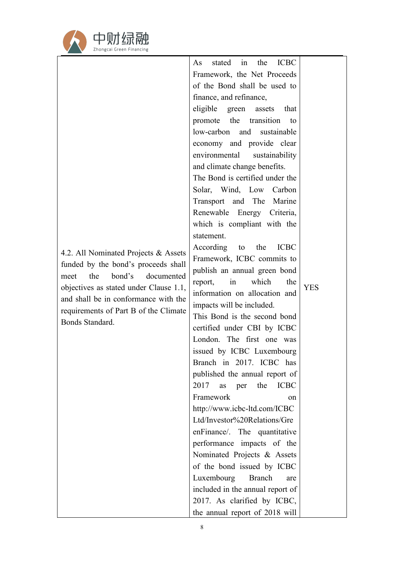

|                                                                                | the<br><b>ICBC</b><br>stated<br>in<br>As |            |
|--------------------------------------------------------------------------------|------------------------------------------|------------|
|                                                                                | Framework, the Net Proceeds              |            |
|                                                                                | of the Bond shall be used to             |            |
|                                                                                | finance, and refinance,                  |            |
|                                                                                | eligible green<br>assets<br>that         |            |
|                                                                                | promote the transition<br>to             |            |
|                                                                                | low-carbon and<br>sustainable            |            |
|                                                                                | economy and provide clear                |            |
|                                                                                | environmental<br>sustainability          |            |
|                                                                                | and climate change benefits.             |            |
|                                                                                | The Bond is certified under the          |            |
|                                                                                | Solar, Wind, Low Carbon                  |            |
|                                                                                | Transport and The Marine                 |            |
|                                                                                | Renewable Energy Criteria,               |            |
|                                                                                | which is compliant with the              |            |
|                                                                                | statement.                               |            |
|                                                                                | <b>ICBC</b><br>According<br>the<br>to    |            |
| 4.2. All Nominated Projects & Assets                                           | Framework, ICBC commits to               |            |
| funded by the bond's proceeds shall                                            | publish an annual green bond             |            |
| the<br>bond's<br>documented<br>meet                                            | which<br>report,<br>in<br>the            | <b>YES</b> |
| objectives as stated under Clause 1.1,<br>and shall be in conformance with the | information on allocation and            |            |
|                                                                                | impacts will be included.                |            |
| requirements of Part B of the Climate<br>Bonds Standard.                       | This Bond is the second bond             |            |
|                                                                                | certified under CBI by ICBC              |            |
|                                                                                | London. The first one was                |            |
|                                                                                | issued by ICBC Luxembourg                |            |
|                                                                                | Branch in 2017. ICBC has                 |            |
|                                                                                | published the annual report of           |            |
|                                                                                | 2017<br>as<br>the<br><b>ICBC</b><br>per  |            |
|                                                                                | Framework<br>on                          |            |
|                                                                                | http://www.icbc-ltd.com/ICBC             |            |
|                                                                                | Ltd/Investor%20Relations/Gre             |            |
|                                                                                | enFinance/. The quantitative             |            |
|                                                                                | performance impacts of the               |            |
|                                                                                | Nominated Projects & Assets              |            |
|                                                                                | of the bond issued by ICBC               |            |
|                                                                                | Luxembourg<br><b>Branch</b><br>are       |            |
|                                                                                | included in the annual report of         |            |
|                                                                                | 2017. As clarified by ICBC,              |            |
|                                                                                | the annual report of 2018 will           |            |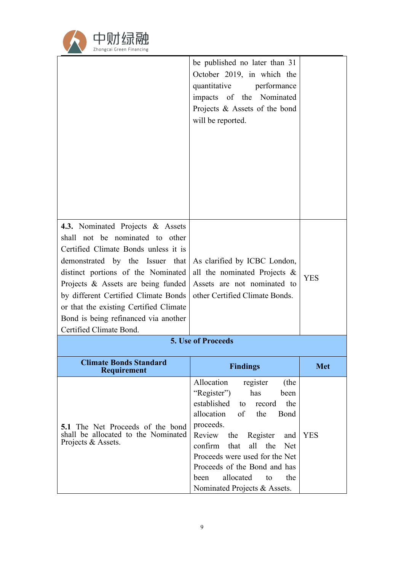

|                                                                                                                                                                                                                                                                                                                                             | be published no later than 31<br>October 2019, in which the<br>quantitative performance<br>impacts of the Nominated<br>Projects & Assets of the bond<br>will be reported.                                                                                                                                                                                              |            |
|---------------------------------------------------------------------------------------------------------------------------------------------------------------------------------------------------------------------------------------------------------------------------------------------------------------------------------------------|------------------------------------------------------------------------------------------------------------------------------------------------------------------------------------------------------------------------------------------------------------------------------------------------------------------------------------------------------------------------|------------|
| 4.3. Nominated Projects & Assets                                                                                                                                                                                                                                                                                                            |                                                                                                                                                                                                                                                                                                                                                                        |            |
| shall not be nominated to other<br>Certified Climate Bonds unless it is<br>demonstrated by the Issuer that<br>distinct portions of the Nominated<br>Projects & Assets are being funded<br>by different Certified Climate Bonds<br>or that the existing Certified Climate<br>Bond is being refinanced via another<br>Certified Climate Bond. | As clarified by ICBC London,<br>all the nominated Projects $\&$<br>Assets are not nominated to<br>other Certified Climate Bonds.                                                                                                                                                                                                                                       | <b>YES</b> |
|                                                                                                                                                                                                                                                                                                                                             | 5. Use of Proceeds                                                                                                                                                                                                                                                                                                                                                     |            |
| <b>Climate Bonds Standard</b><br><b>Requirement</b>                                                                                                                                                                                                                                                                                         | <b>Findings</b>                                                                                                                                                                                                                                                                                                                                                        | <b>Met</b> |
| <b>5.1</b> The Net Proceeds of the bond<br>shall be allocated to the Nominated<br>Projects & Assets.                                                                                                                                                                                                                                        | Allocation<br>register<br>(the<br>"Register")<br>has<br>been<br>established<br>the<br>record<br>to<br>allocation<br>of<br>the<br>Bond<br>proceeds.<br>Review<br>Register<br>the<br>and<br>confirm<br>that<br>all the<br><b>Net</b><br>Proceeds were used for the Net<br>Proceeds of the Bond and has<br>allocated<br>the<br>to<br>been<br>Nominated Projects & Assets. | <b>YES</b> |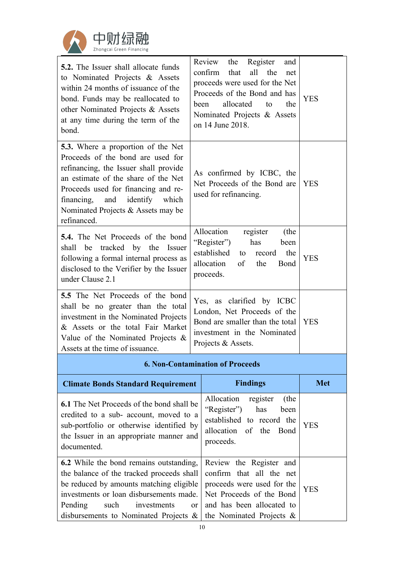

| <b>5.2.</b> The Issuer shall allocate funds<br>to Nominated Projects & Assets<br>within 24 months of issuance of the<br>bond. Funds may be reallocated to<br>other Nominated Projects & Assets<br>at any time during the term of the<br>bond.                                                        | Review<br>the<br>Register<br>and<br>the<br>confirm<br>that<br>all<br>net<br>proceeds were used for the Net<br>Proceeds of the Bond and has<br>been<br>allocated<br>the<br>to<br>Nominated Projects & Assets<br>on 14 June 2018. | <b>YES</b> |  |
|------------------------------------------------------------------------------------------------------------------------------------------------------------------------------------------------------------------------------------------------------------------------------------------------------|---------------------------------------------------------------------------------------------------------------------------------------------------------------------------------------------------------------------------------|------------|--|
| <b>5.3.</b> Where a proportion of the Net<br>Proceeds of the bond are used for<br>refinancing, the Issuer shall provide<br>an estimate of the share of the Net<br>Proceeds used for financing and re-<br>and<br>identify<br>financing,<br>which<br>Nominated Projects & Assets may be<br>refinanced. | As confirmed by ICBC, the<br>Net Proceeds of the Bond are<br>used for refinancing.                                                                                                                                              | <b>YES</b> |  |
| <b>5.4.</b> The Net Proceeds of the bond<br>shall be tracked by the Issuer<br>following a formal internal process as<br>disclosed to the Verifier by the Issuer<br>under Clause 2.1                                                                                                                  | Allocation<br>register<br>(the<br>"Register")<br>has<br>been<br>established<br>record<br>the<br>to<br>allocation<br>of<br>the<br>Bond<br>proceeds.                                                                              | <b>YES</b> |  |
| 5.5 The Net Proceeds of the bond<br>shall be no greater than the total<br>investment in the Nominated Projects<br>& Assets or the total Fair Market<br>Value of the Nominated Projects $\&$<br>Assets at the time of issuance.                                                                       | Yes, as clarified by ICBC<br>London, Net Proceeds of the<br>Bond are smaller than the total<br>investment in the Nominated<br>Projects & Assets.                                                                                | <b>YES</b> |  |
| <b>6. Non-Contamination of Proceeds</b>                                                                                                                                                                                                                                                              |                                                                                                                                                                                                                                 |            |  |

| <b>Climate Bonds Standard Requirement</b>                                                                                                                                                                                                                                        | <b>Findings</b>                                                                                                                                                           | <b>Met</b> |
|----------------------------------------------------------------------------------------------------------------------------------------------------------------------------------------------------------------------------------------------------------------------------------|---------------------------------------------------------------------------------------------------------------------------------------------------------------------------|------------|
| <b>6.1</b> The Net Proceeds of the bond shall be<br>credited to a sub- account, moved to a<br>sub-portfolio or otherwise identified by<br>the Issuer in an appropriate manner and<br>documented.                                                                                 | Allocation<br>(the<br>register<br>"Register")<br>has<br>been<br>established to record the<br>allocation of the Bond<br>proceeds.                                          | <b>YES</b> |
| <b>6.2</b> While the bond remains outstanding,<br>the balance of the tracked proceeds shall<br>be reduced by amounts matching eligible<br>investments or loan disbursements made.<br>Pending<br>such<br>investments<br><sub>or</sub><br>disbursements to Nominated Projects $\&$ | Review the Register and<br>confirm that all the net<br>proceeds were used for the<br>Net Proceeds of the Bond<br>and has been allocated to<br>the Nominated Projects $\&$ | <b>YES</b> |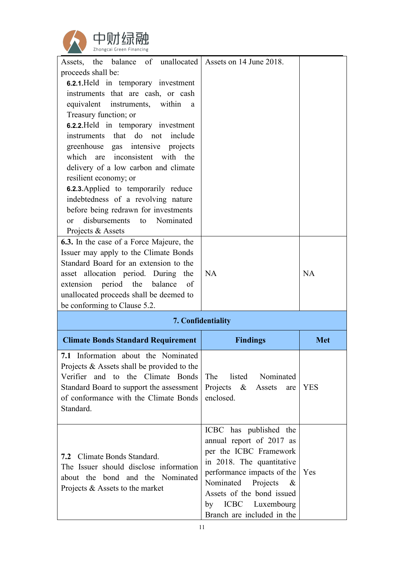

| Assets, the balance of unallocated<br>proceeds shall be:<br><b>6.2.1.</b> Held in temporary investment<br>instruments that are cash, or cash<br>within a<br>equivalent<br>instruments,<br>Treasury function; or<br><b>6.2.2.</b> Held in temporary investment                                                                                                                                                       | Assets on 14 June 2018.                                                           |            |
|---------------------------------------------------------------------------------------------------------------------------------------------------------------------------------------------------------------------------------------------------------------------------------------------------------------------------------------------------------------------------------------------------------------------|-----------------------------------------------------------------------------------|------------|
| instruments that do not<br>include<br>greenhouse gas intensive projects<br>which are inconsistent with the<br>delivery of a low carbon and climate<br>resilient economy; or<br><b>6.2.3.</b> Applied to temporarily reduce<br>indebtedness of a revolving nature<br>before being redrawn for investments<br>disbursements<br>Nominated<br>to<br>or<br>Projects & Assets<br>6.3. In the case of a Force Majeure, the |                                                                                   |            |
| Issuer may apply to the Climate Bonds<br>Standard Board for an extension to the<br>asset allocation period. During the<br>extension period the<br>balance<br>of<br>unallocated proceeds shall be deemed to<br>be conforming to Clause 5.2.                                                                                                                                                                          | <b>NA</b>                                                                         | <b>NA</b>  |
|                                                                                                                                                                                                                                                                                                                                                                                                                     | 7. Confidentiality                                                                |            |
| <b>Climate Bonds Standard Requirement</b>                                                                                                                                                                                                                                                                                                                                                                           | <b>Findings</b>                                                                   | <b>Met</b> |
| 7.1 Information about the Nominated<br>Projects $\&$ Assets shall be provided to the                                                                                                                                                                                                                                                                                                                                |                                                                                   |            |
| Verifier and to the Climate Bonds<br>Standard Board to support the assessment<br>of conformance with the Climate Bonds<br>Standard.                                                                                                                                                                                                                                                                                 | Nominated<br>The<br>listed<br>Projects<br>$\propto$<br>Assets<br>are<br>enclosed. | <b>YES</b> |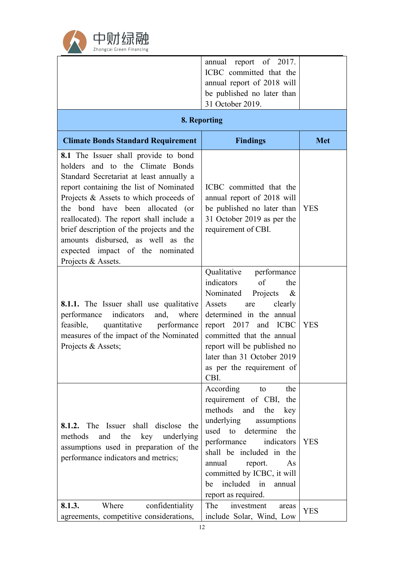

|                                                                                                                                                                                                                                                                                                                                                                                                                                       | annual report of 2017.<br>ICBC committed that the<br>annual report of 2018 will<br>be published no later than<br>31 October 2019.                                                                                                                                                                                     |            |  |  |
|---------------------------------------------------------------------------------------------------------------------------------------------------------------------------------------------------------------------------------------------------------------------------------------------------------------------------------------------------------------------------------------------------------------------------------------|-----------------------------------------------------------------------------------------------------------------------------------------------------------------------------------------------------------------------------------------------------------------------------------------------------------------------|------------|--|--|
| 8. Reporting                                                                                                                                                                                                                                                                                                                                                                                                                          |                                                                                                                                                                                                                                                                                                                       |            |  |  |
| <b>Climate Bonds Standard Requirement</b>                                                                                                                                                                                                                                                                                                                                                                                             | <b>Findings</b>                                                                                                                                                                                                                                                                                                       | <b>Met</b> |  |  |
| 8.1 The Issuer shall provide to bond<br>holders and to the Climate Bonds<br>Standard Secretariat at least annually a<br>report containing the list of Nominated<br>Projects & Assets to which proceeds of<br>the bond have been allocated (or<br>reallocated). The report shall include a<br>brief description of the projects and the<br>amounts disbursed, as well as the<br>expected impact of the nominated<br>Projects & Assets. | ICBC committed that the<br>annual report of 2018 will<br>be published no later than<br>31 October 2019 as per the<br>requirement of CBI.                                                                                                                                                                              | <b>YES</b> |  |  |
| 8.1.1. The Issuer shall use qualitative<br>indicators<br>performance<br>and,<br>where<br>performance<br>feasible,<br>quantitative<br>measures of the impact of the Nominated<br>Projects & Assets;                                                                                                                                                                                                                                    | Qualitative<br>performance<br>indicators<br>of<br>the<br>Nominated<br>Projects<br>$\&$<br>clearly<br>Assets<br>are<br>determined in the annual<br>report 2017<br>and ICBC<br>committed that the annual<br>report will be published no<br>later than 31 October 2019<br>as per the requirement of<br>CBI.              | <b>YES</b> |  |  |
| <b>8.1.2.</b> The Issuer shall disclose the<br>and<br>the<br>underlying<br>methods<br>key<br>assumptions used in preparation of the<br>performance indicators and metrics;                                                                                                                                                                                                                                                            | According<br>the<br>to<br>requirement of CBI,<br>the<br>methods<br>the<br>and<br>key<br>underlying<br>assumptions<br>used to determine<br>the<br>performance<br>indicators<br>shall be included in the<br>report.<br>annual<br>As<br>committed by ICBC, it will<br>included in<br>annual<br>be<br>report as required. | <b>YES</b> |  |  |
| confidentiality<br>Where<br>8.1.3.<br>agreements, competitive considerations,                                                                                                                                                                                                                                                                                                                                                         | The<br>investment<br>areas<br>include Solar, Wind, Low                                                                                                                                                                                                                                                                | <b>YES</b> |  |  |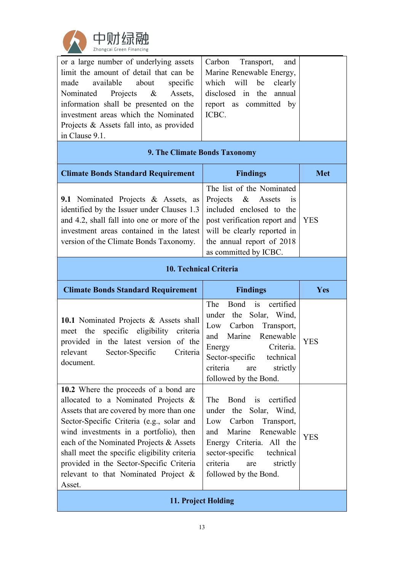

| or a large number of underlying assets   | Carbon Transport, and    |  |
|------------------------------------------|--------------------------|--|
| limit the amount of detail that can be   | Marine Renewable Energy, |  |
| made available about<br>specific         | which will be clearly    |  |
| Nominated Projects & Assets,             | disclosed in the annual  |  |
| information shall be presented on the    | report as committed by   |  |
| investment areas which the Nominated     | ICBC.                    |  |
| Projects & Assets fall into, as provided |                          |  |
| in Clause 9.1.                           |                          |  |

#### **9. The Climate Bonds Taxonomy**

| <b>Climate Bonds Standard Requirement</b>                                                    | <b>Findings</b>           | <b>Met</b> |
|----------------------------------------------------------------------------------------------|---------------------------|------------|
|                                                                                              | The list of the Nominated |            |
| <b>9.1</b> Nominated Projects & Assets, as Projects & Assets is                              |                           |            |
| identified by the Issuer under Clauses $1.3$ included enclosed to the                        |                           |            |
| and 4.2, shall fall into one or more of the $\vert$ post verification report and $\vert$ YES |                           |            |
| investment areas contained in the latest will be clearly reported in                         |                           |            |
| version of the Climate Bonds Taxonomy.                                                       | the annual report of 2018 |            |
|                                                                                              | as committed by ICBC.     |            |

**10. Technical Criteria**

| <b>Climate Bonds Standard Requirement</b>                                                                                                                                                                                                                                                                                                                                                                      | <b>Findings</b>                                                                                                                                                                                                                              | Yes        |  |
|----------------------------------------------------------------------------------------------------------------------------------------------------------------------------------------------------------------------------------------------------------------------------------------------------------------------------------------------------------------------------------------------------------------|----------------------------------------------------------------------------------------------------------------------------------------------------------------------------------------------------------------------------------------------|------------|--|
| <b>10.1</b> Nominated Projects & Assets shall<br>meet the specific eligibility<br>criteria<br>provided in the latest version of the<br>Sector-Specific<br>relevant<br>Criteria<br>document.                                                                                                                                                                                                                    | The<br>Bond<br>certified<br>$\frac{1}{1}$<br>under the Solar, Wind,<br>Carbon<br>Transport,<br>Low<br>Marine<br>Renewable<br>and<br>Criteria.<br>Energy<br>Sector-specific technical<br>criteria<br>strictly<br>are<br>followed by the Bond. | <b>YES</b> |  |
| 10.2 Where the proceeds of a bond are<br>allocated to a Nominated Projects $\&$<br>Assets that are covered by more than one<br>Sector-Specific Criteria (e.g., solar and<br>wind investments in a portfolio), then<br>each of the Nominated Projects & Assets<br>shall meet the specific eligibility criteria<br>provided in the Sector-Specific Criteria<br>relevant to that Nominated Project $\&$<br>Asset. | Bond is certified<br><b>The</b><br>under the Solar, Wind,<br>Carbon<br>Low<br>Transport,<br>Marine<br>Renewable<br>and<br>Energy Criteria. All the<br>sector-specific<br>technical<br>criteria<br>strictly<br>are<br>followed by the Bond.   | <b>YES</b> |  |
| 11. Project Holding                                                                                                                                                                                                                                                                                                                                                                                            |                                                                                                                                                                                                                                              |            |  |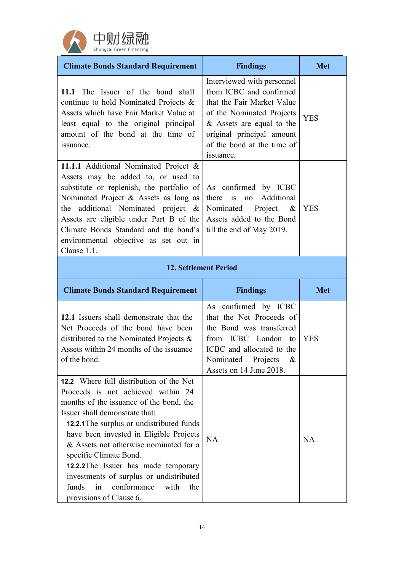

| <b>Climate Bonds Standard Requirement</b>                                                                                                                                                                                                                                                                                                              | <b>Findings</b>                                                                                                                                                                                                         | <b>Met</b> |
|--------------------------------------------------------------------------------------------------------------------------------------------------------------------------------------------------------------------------------------------------------------------------------------------------------------------------------------------------------|-------------------------------------------------------------------------------------------------------------------------------------------------------------------------------------------------------------------------|------------|
| 11.1 The Issuer of the bond shall<br>continue to hold Nominated Projects &<br>Assets which have Fair Market Value at<br>least equal to the original principal<br>amount of the bond at the time of<br>issuance.                                                                                                                                        | Interviewed with personnel<br>from ICBC and confirmed<br>that the Fair Market Value<br>of the Nominated Projects<br>$&$ Assets are equal to the<br>original principal amount<br>of the bond at the time of<br>issuance. | <b>YES</b> |
| 11.1.1 Additional Nominated Project &<br>Assets may be added to, or used to<br>substitute or replenish, the portfolio of<br>Nominated Project & Assets as long as<br>the additional Nominated project $\&$<br>Assets are eligible under Part B of the<br>Climate Bonds Standard and the bond's<br>environmental objective as set out in<br>Clause 1.1. | As confirmed by ICBC<br>Additional<br>there is<br>no<br>Nominated<br>Project<br>$\&$<br>Assets added to the Bond<br>till the end of May 2019.                                                                           | <b>YES</b> |
| <b>12. Settlement Period</b>                                                                                                                                                                                                                                                                                                                           |                                                                                                                                                                                                                         |            |
| <b>Climate Bonds Standard Requirement</b>                                                                                                                                                                                                                                                                                                              | <b>Findings</b>                                                                                                                                                                                                         | <b>Met</b> |
| 12.1 Issuers shall demonstrate that the<br>Net Proceeds of the bond have been<br>distributed to the Nominated Projects $\&$<br>Assets within 24 months of the issuance<br>of the bond.<br>12.2 Where full distribution of the Net                                                                                                                      | As confirmed by ICBC<br>that the Net Proceeds of<br>the Bond was transferred<br>from ICBC London<br>to<br>ICBC and allocated to the<br>Nominated<br>Projects<br>$\&$<br>Assets on 14 June 2018.                         | <b>YES</b> |
| Proceeds is not achieved within 24<br>months of the issuance of the bond, the                                                                                                                                                                                                                                                                          |                                                                                                                                                                                                                         |            |

Issuer shall demonstrate that: **12.2.1**The surplus or undistributed funds have been invested in Eligible Projects  $\big|_{NA}$ & Assets not otherwise nominated for a specific Climate Bond. **12.2.2**The Issuer has made temporary investments of surplus or undistributed funds in conformance with the Max Assets not otherwise nominated for a<br>
specific Climate Bond.<br> **12.2.2** The Issuer has made temporary<br>
investments of surplus or undistributed<br>
funds in conformance with the<br>
provisions of Clause 6.